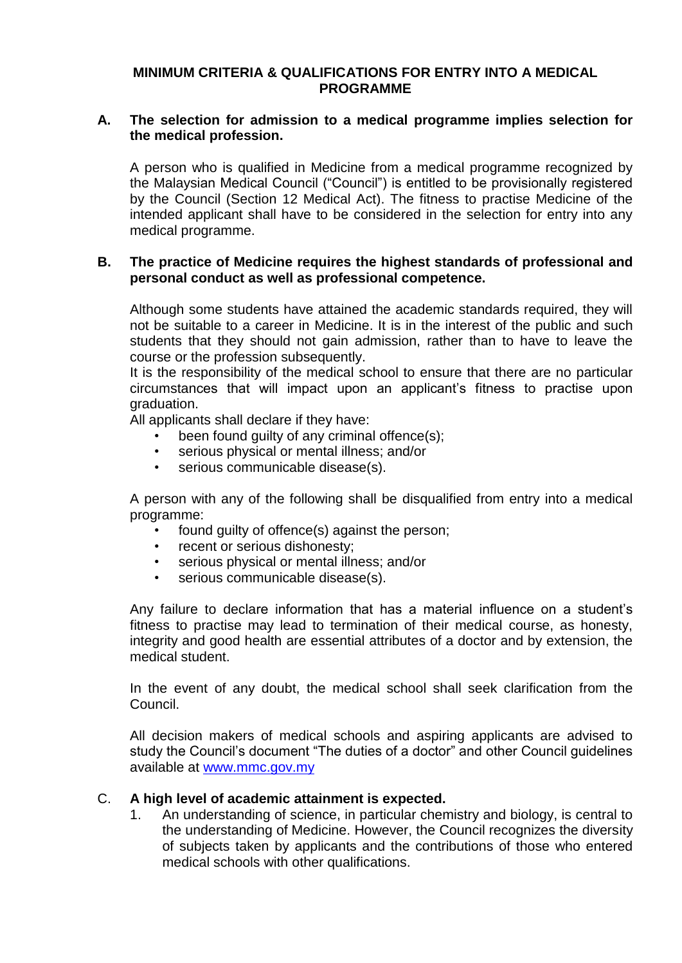## **MINIMUM CRITERIA & QUALIFICATIONS FOR ENTRY INTO A MEDICAL PROGRAMME**

## **A. The selection for admission to a medical programme implies selection for the medical profession.**

A person who is qualified in Medicine from a medical programme recognized by the Malaysian Medical Council ("Council") is entitled to be provisionally registered by the Council (Section 12 Medical Act). The fitness to practise Medicine of the intended applicant shall have to be considered in the selection for entry into any medical programme.

## **B. The practice of Medicine requires the highest standards of professional and personal conduct as well as professional competence.**

Although some students have attained the academic standards required, they will not be suitable to a career in Medicine. It is in the interest of the public and such students that they should not gain admission, rather than to have to leave the course or the profession subsequently.

It is the responsibility of the medical school to ensure that there are no particular circumstances that will impact upon an applicant's fitness to practise upon graduation.

All applicants shall declare if they have:

- been found quilty of any criminal offence(s):
- serious physical or mental illness; and/or
- serious communicable disease(s).

A person with any of the following shall be disqualified from entry into a medical programme:

- found guilty of offence(s) against the person;
- recent or serious dishonesty;
- serious physical or mental illness; and/or
- serious communicable disease(s).

Any failure to declare information that has a material influence on a student's fitness to practise may lead to termination of their medical course, as honesty, integrity and good health are essential attributes of a doctor and by extension, the medical student.

In the event of any doubt, the medical school shall seek clarification from the Council.

All decision makers of medical schools and aspiring applicants are advised to study the Council's document "The duties of a doctor" and other Council guidelines available at [www.mmc.gov.my](http://www.mmc.gov.my/) 

## C. **A high level of academic attainment is expected.**

1. An understanding of science, in particular chemistry and biology, is central to the understanding of Medicine. However, the Council recognizes the diversity of subjects taken by applicants and the contributions of those who entered medical schools with other qualifications.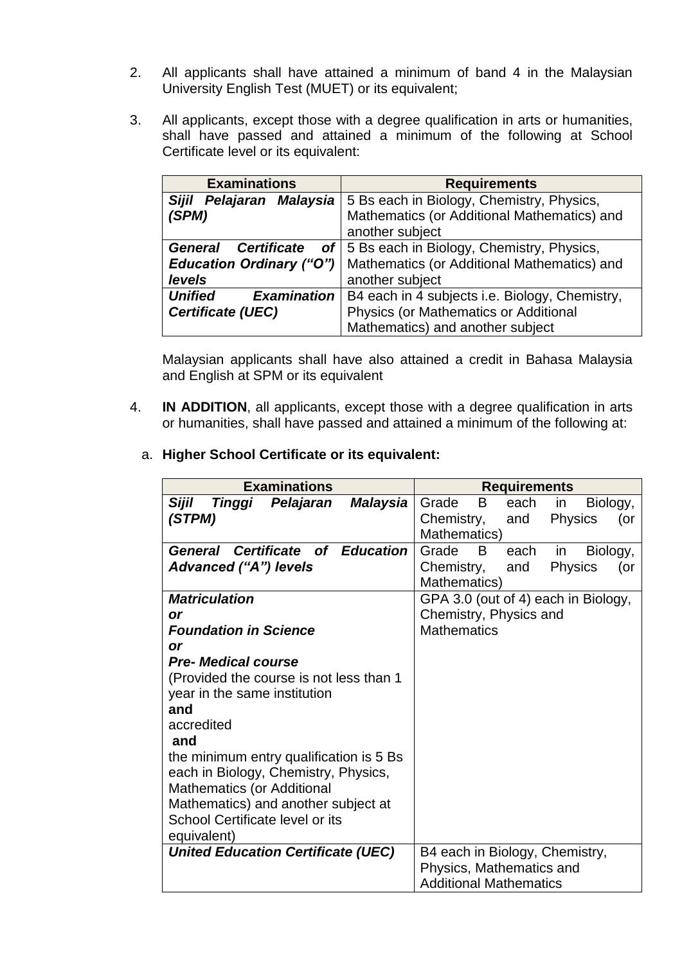- 2. All applicants shall have attained a minimum of band 4 in the Malaysian University English Test (MUET) or its equivalent;
- 3. All applicants, except those with a degree qualification in arts or humanities, shall have passed and attained a minimum of the following at School Certificate level or its equivalent:

| <b>Examinations</b>                              | <b>Requirements</b>                            |
|--------------------------------------------------|------------------------------------------------|
| <b>Sijil</b><br>Pelajaran Malaysia               | 5 Bs each in Biology, Chemistry, Physics,      |
| (SPM)                                            | Mathematics (or Additional Mathematics) and    |
|                                                  | another subject                                |
| <b>Certificate</b><br>General<br>of <sub>l</sub> | 5 Bs each in Biology, Chemistry, Physics,      |
| <b>Education Ordinary ("O")</b>                  | Mathematics (or Additional Mathematics) and    |
| levels                                           | another subject                                |
| <b>Examination</b><br><b>Unified</b>             | B4 each in 4 subjects i.e. Biology, Chemistry, |
| <b>Certificate (UEC)</b>                         | Physics (or Mathematics or Additional          |
|                                                  | Mathematics) and another subject               |

Malaysian applicants shall have also attained a credit in Bahasa Malaysia and English at SPM or its equivalent

- 4. **IN ADDITION**, all applicants, except those with a degree qualification in arts or humanities, shall have passed and attained a minimum of the following at:
	- a. **Higher School Certificate or its equivalent:**

| <b>Examinations</b>                             | <b>Requirements</b>                        |  |  |
|-------------------------------------------------|--------------------------------------------|--|--|
| Pelajaran<br>Sijil<br>Tinggi<br><b>Malaysia</b> | B<br>Grade<br>each<br>Biology,<br>in       |  |  |
| (STPM)                                          | Chemistry,<br><b>Physics</b><br>and<br>(or |  |  |
|                                                 | Mathematics)                               |  |  |
| <b>General Certificate of Education</b>         | Grade<br>B<br>each<br>Biology,<br>in.      |  |  |
| <b>Advanced ("A") levels</b>                    | Chemistry,<br><b>Physics</b><br>and<br>(or |  |  |
|                                                 | Mathematics)                               |  |  |
| <b>Matriculation</b>                            | GPA 3.0 (out of 4) each in Biology,        |  |  |
| or                                              | Chemistry, Physics and                     |  |  |
| <b>Foundation in Science</b>                    | <b>Mathematics</b>                         |  |  |
| <b>or</b>                                       |                                            |  |  |
| <b>Pre- Medical course</b>                      |                                            |  |  |
| (Provided the course is not less than 1         |                                            |  |  |
| year in the same institution                    |                                            |  |  |
| and                                             |                                            |  |  |
| accredited                                      |                                            |  |  |
| and                                             |                                            |  |  |
| the minimum entry qualification is 5 Bs         |                                            |  |  |
| each in Biology, Chemistry, Physics,            |                                            |  |  |
| <b>Mathematics (or Additional</b>               |                                            |  |  |
| Mathematics) and another subject at             |                                            |  |  |
| School Certificate level or its                 |                                            |  |  |
| equivalent)                                     |                                            |  |  |
| <b>United Education Certificate (UEC)</b>       | B4 each in Biology, Chemistry,             |  |  |
|                                                 | Physics, Mathematics and                   |  |  |
|                                                 | <b>Additional Mathematics</b>              |  |  |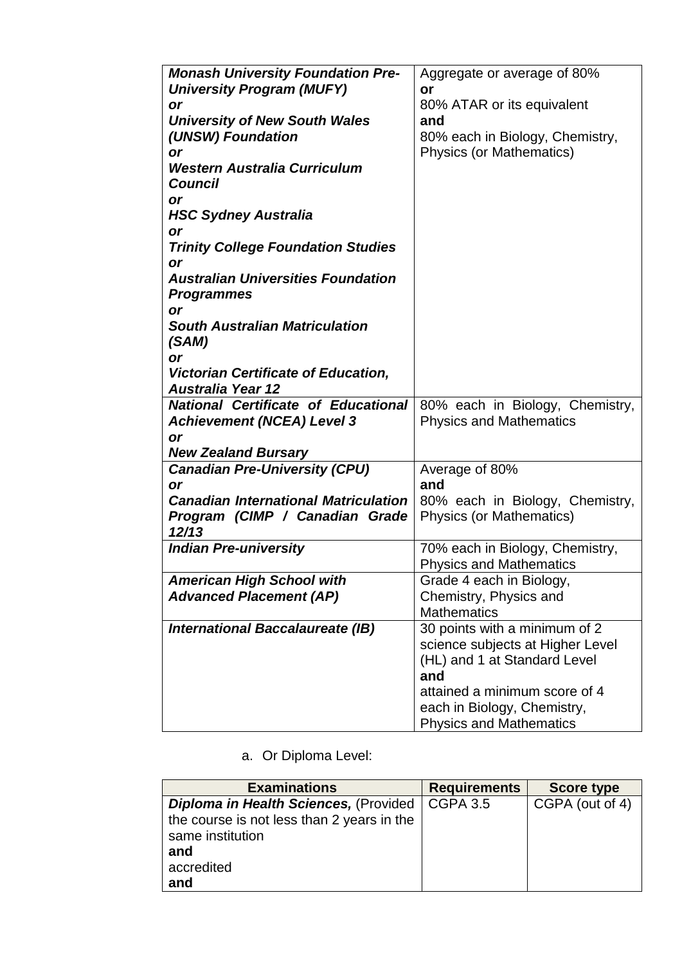| <b>Monash University Foundation Pre-</b><br>Aggregate or average of 80%<br><b>University Program (MUFY)</b><br>or<br>80% ATAR or its equivalent<br>or<br><b>University of New South Wales</b><br>and<br>(UNSW) Foundation<br>80% each in Biology, Chemistry,<br><b>Physics (or Mathematics)</b><br>or<br><b>Western Australia Curriculum</b><br><b>Council</b><br>or<br><b>HSC Sydney Australia</b><br>or<br><b>Trinity College Foundation Studies</b><br>or<br><b>Australian Universities Foundation</b><br><b>Programmes</b><br><b>or</b><br><b>South Australian Matriculation</b><br>(SAM)<br>or<br><b>Victorian Certificate of Education,</b><br><b>Australia Year 12</b><br><b>National Certificate of Educational</b><br>80% each in Biology, Chemistry,<br><b>Achievement (NCEA) Level 3</b><br><b>Physics and Mathematics</b><br><b>or</b><br><b>New Zealand Bursary</b><br><b>Canadian Pre-University (CPU)</b><br>Average of 80%<br>and<br>or<br><b>Canadian International Matriculation</b><br>80% each in Biology, Chemistry,<br>Program (CIMP / Canadian Grade<br><b>Physics (or Mathematics)</b><br>12/13<br><b>Indian Pre-university</b><br>70% each in Biology, Chemistry,<br><b>Physics and Mathematics</b><br><b>American High School with</b><br>Grade 4 each in Biology,<br><b>Advanced Placement (AP)</b><br>Chemistry, Physics and<br><b>Mathematics</b><br>30 points with a minimum of 2<br>International Baccalaureate (IB)<br>science subjects at Higher Level<br>(HL) and 1 at Standard Level<br>and<br>attained a minimum score of 4 |  |  |
|-----------------------------------------------------------------------------------------------------------------------------------------------------------------------------------------------------------------------------------------------------------------------------------------------------------------------------------------------------------------------------------------------------------------------------------------------------------------------------------------------------------------------------------------------------------------------------------------------------------------------------------------------------------------------------------------------------------------------------------------------------------------------------------------------------------------------------------------------------------------------------------------------------------------------------------------------------------------------------------------------------------------------------------------------------------------------------------------------------------------------------------------------------------------------------------------------------------------------------------------------------------------------------------------------------------------------------------------------------------------------------------------------------------------------------------------------------------------------------------------------------------------------------------------------------------------|--|--|
|                                                                                                                                                                                                                                                                                                                                                                                                                                                                                                                                                                                                                                                                                                                                                                                                                                                                                                                                                                                                                                                                                                                                                                                                                                                                                                                                                                                                                                                                                                                                                                 |  |  |
|                                                                                                                                                                                                                                                                                                                                                                                                                                                                                                                                                                                                                                                                                                                                                                                                                                                                                                                                                                                                                                                                                                                                                                                                                                                                                                                                                                                                                                                                                                                                                                 |  |  |
|                                                                                                                                                                                                                                                                                                                                                                                                                                                                                                                                                                                                                                                                                                                                                                                                                                                                                                                                                                                                                                                                                                                                                                                                                                                                                                                                                                                                                                                                                                                                                                 |  |  |
|                                                                                                                                                                                                                                                                                                                                                                                                                                                                                                                                                                                                                                                                                                                                                                                                                                                                                                                                                                                                                                                                                                                                                                                                                                                                                                                                                                                                                                                                                                                                                                 |  |  |
|                                                                                                                                                                                                                                                                                                                                                                                                                                                                                                                                                                                                                                                                                                                                                                                                                                                                                                                                                                                                                                                                                                                                                                                                                                                                                                                                                                                                                                                                                                                                                                 |  |  |
|                                                                                                                                                                                                                                                                                                                                                                                                                                                                                                                                                                                                                                                                                                                                                                                                                                                                                                                                                                                                                                                                                                                                                                                                                                                                                                                                                                                                                                                                                                                                                                 |  |  |
|                                                                                                                                                                                                                                                                                                                                                                                                                                                                                                                                                                                                                                                                                                                                                                                                                                                                                                                                                                                                                                                                                                                                                                                                                                                                                                                                                                                                                                                                                                                                                                 |  |  |
|                                                                                                                                                                                                                                                                                                                                                                                                                                                                                                                                                                                                                                                                                                                                                                                                                                                                                                                                                                                                                                                                                                                                                                                                                                                                                                                                                                                                                                                                                                                                                                 |  |  |
|                                                                                                                                                                                                                                                                                                                                                                                                                                                                                                                                                                                                                                                                                                                                                                                                                                                                                                                                                                                                                                                                                                                                                                                                                                                                                                                                                                                                                                                                                                                                                                 |  |  |
|                                                                                                                                                                                                                                                                                                                                                                                                                                                                                                                                                                                                                                                                                                                                                                                                                                                                                                                                                                                                                                                                                                                                                                                                                                                                                                                                                                                                                                                                                                                                                                 |  |  |
|                                                                                                                                                                                                                                                                                                                                                                                                                                                                                                                                                                                                                                                                                                                                                                                                                                                                                                                                                                                                                                                                                                                                                                                                                                                                                                                                                                                                                                                                                                                                                                 |  |  |
|                                                                                                                                                                                                                                                                                                                                                                                                                                                                                                                                                                                                                                                                                                                                                                                                                                                                                                                                                                                                                                                                                                                                                                                                                                                                                                                                                                                                                                                                                                                                                                 |  |  |
|                                                                                                                                                                                                                                                                                                                                                                                                                                                                                                                                                                                                                                                                                                                                                                                                                                                                                                                                                                                                                                                                                                                                                                                                                                                                                                                                                                                                                                                                                                                                                                 |  |  |
|                                                                                                                                                                                                                                                                                                                                                                                                                                                                                                                                                                                                                                                                                                                                                                                                                                                                                                                                                                                                                                                                                                                                                                                                                                                                                                                                                                                                                                                                                                                                                                 |  |  |
|                                                                                                                                                                                                                                                                                                                                                                                                                                                                                                                                                                                                                                                                                                                                                                                                                                                                                                                                                                                                                                                                                                                                                                                                                                                                                                                                                                                                                                                                                                                                                                 |  |  |
|                                                                                                                                                                                                                                                                                                                                                                                                                                                                                                                                                                                                                                                                                                                                                                                                                                                                                                                                                                                                                                                                                                                                                                                                                                                                                                                                                                                                                                                                                                                                                                 |  |  |
|                                                                                                                                                                                                                                                                                                                                                                                                                                                                                                                                                                                                                                                                                                                                                                                                                                                                                                                                                                                                                                                                                                                                                                                                                                                                                                                                                                                                                                                                                                                                                                 |  |  |
|                                                                                                                                                                                                                                                                                                                                                                                                                                                                                                                                                                                                                                                                                                                                                                                                                                                                                                                                                                                                                                                                                                                                                                                                                                                                                                                                                                                                                                                                                                                                                                 |  |  |
|                                                                                                                                                                                                                                                                                                                                                                                                                                                                                                                                                                                                                                                                                                                                                                                                                                                                                                                                                                                                                                                                                                                                                                                                                                                                                                                                                                                                                                                                                                                                                                 |  |  |
|                                                                                                                                                                                                                                                                                                                                                                                                                                                                                                                                                                                                                                                                                                                                                                                                                                                                                                                                                                                                                                                                                                                                                                                                                                                                                                                                                                                                                                                                                                                                                                 |  |  |
|                                                                                                                                                                                                                                                                                                                                                                                                                                                                                                                                                                                                                                                                                                                                                                                                                                                                                                                                                                                                                                                                                                                                                                                                                                                                                                                                                                                                                                                                                                                                                                 |  |  |
|                                                                                                                                                                                                                                                                                                                                                                                                                                                                                                                                                                                                                                                                                                                                                                                                                                                                                                                                                                                                                                                                                                                                                                                                                                                                                                                                                                                                                                                                                                                                                                 |  |  |
|                                                                                                                                                                                                                                                                                                                                                                                                                                                                                                                                                                                                                                                                                                                                                                                                                                                                                                                                                                                                                                                                                                                                                                                                                                                                                                                                                                                                                                                                                                                                                                 |  |  |
|                                                                                                                                                                                                                                                                                                                                                                                                                                                                                                                                                                                                                                                                                                                                                                                                                                                                                                                                                                                                                                                                                                                                                                                                                                                                                                                                                                                                                                                                                                                                                                 |  |  |
|                                                                                                                                                                                                                                                                                                                                                                                                                                                                                                                                                                                                                                                                                                                                                                                                                                                                                                                                                                                                                                                                                                                                                                                                                                                                                                                                                                                                                                                                                                                                                                 |  |  |
|                                                                                                                                                                                                                                                                                                                                                                                                                                                                                                                                                                                                                                                                                                                                                                                                                                                                                                                                                                                                                                                                                                                                                                                                                                                                                                                                                                                                                                                                                                                                                                 |  |  |
|                                                                                                                                                                                                                                                                                                                                                                                                                                                                                                                                                                                                                                                                                                                                                                                                                                                                                                                                                                                                                                                                                                                                                                                                                                                                                                                                                                                                                                                                                                                                                                 |  |  |
|                                                                                                                                                                                                                                                                                                                                                                                                                                                                                                                                                                                                                                                                                                                                                                                                                                                                                                                                                                                                                                                                                                                                                                                                                                                                                                                                                                                                                                                                                                                                                                 |  |  |
|                                                                                                                                                                                                                                                                                                                                                                                                                                                                                                                                                                                                                                                                                                                                                                                                                                                                                                                                                                                                                                                                                                                                                                                                                                                                                                                                                                                                                                                                                                                                                                 |  |  |
|                                                                                                                                                                                                                                                                                                                                                                                                                                                                                                                                                                                                                                                                                                                                                                                                                                                                                                                                                                                                                                                                                                                                                                                                                                                                                                                                                                                                                                                                                                                                                                 |  |  |
|                                                                                                                                                                                                                                                                                                                                                                                                                                                                                                                                                                                                                                                                                                                                                                                                                                                                                                                                                                                                                                                                                                                                                                                                                                                                                                                                                                                                                                                                                                                                                                 |  |  |
|                                                                                                                                                                                                                                                                                                                                                                                                                                                                                                                                                                                                                                                                                                                                                                                                                                                                                                                                                                                                                                                                                                                                                                                                                                                                                                                                                                                                                                                                                                                                                                 |  |  |
|                                                                                                                                                                                                                                                                                                                                                                                                                                                                                                                                                                                                                                                                                                                                                                                                                                                                                                                                                                                                                                                                                                                                                                                                                                                                                                                                                                                                                                                                                                                                                                 |  |  |
|                                                                                                                                                                                                                                                                                                                                                                                                                                                                                                                                                                                                                                                                                                                                                                                                                                                                                                                                                                                                                                                                                                                                                                                                                                                                                                                                                                                                                                                                                                                                                                 |  |  |
|                                                                                                                                                                                                                                                                                                                                                                                                                                                                                                                                                                                                                                                                                                                                                                                                                                                                                                                                                                                                                                                                                                                                                                                                                                                                                                                                                                                                                                                                                                                                                                 |  |  |
|                                                                                                                                                                                                                                                                                                                                                                                                                                                                                                                                                                                                                                                                                                                                                                                                                                                                                                                                                                                                                                                                                                                                                                                                                                                                                                                                                                                                                                                                                                                                                                 |  |  |
|                                                                                                                                                                                                                                                                                                                                                                                                                                                                                                                                                                                                                                                                                                                                                                                                                                                                                                                                                                                                                                                                                                                                                                                                                                                                                                                                                                                                                                                                                                                                                                 |  |  |
|                                                                                                                                                                                                                                                                                                                                                                                                                                                                                                                                                                                                                                                                                                                                                                                                                                                                                                                                                                                                                                                                                                                                                                                                                                                                                                                                                                                                                                                                                                                                                                 |  |  |
|                                                                                                                                                                                                                                                                                                                                                                                                                                                                                                                                                                                                                                                                                                                                                                                                                                                                                                                                                                                                                                                                                                                                                                                                                                                                                                                                                                                                                                                                                                                                                                 |  |  |
|                                                                                                                                                                                                                                                                                                                                                                                                                                                                                                                                                                                                                                                                                                                                                                                                                                                                                                                                                                                                                                                                                                                                                                                                                                                                                                                                                                                                                                                                                                                                                                 |  |  |
|                                                                                                                                                                                                                                                                                                                                                                                                                                                                                                                                                                                                                                                                                                                                                                                                                                                                                                                                                                                                                                                                                                                                                                                                                                                                                                                                                                                                                                                                                                                                                                 |  |  |
|                                                                                                                                                                                                                                                                                                                                                                                                                                                                                                                                                                                                                                                                                                                                                                                                                                                                                                                                                                                                                                                                                                                                                                                                                                                                                                                                                                                                                                                                                                                                                                 |  |  |
|                                                                                                                                                                                                                                                                                                                                                                                                                                                                                                                                                                                                                                                                                                                                                                                                                                                                                                                                                                                                                                                                                                                                                                                                                                                                                                                                                                                                                                                                                                                                                                 |  |  |
| each in Biology, Chemistry,                                                                                                                                                                                                                                                                                                                                                                                                                                                                                                                                                                                                                                                                                                                                                                                                                                                                                                                                                                                                                                                                                                                                                                                                                                                                                                                                                                                                                                                                                                                                     |  |  |
| <b>Physics and Mathematics</b>                                                                                                                                                                                                                                                                                                                                                                                                                                                                                                                                                                                                                                                                                                                                                                                                                                                                                                                                                                                                                                                                                                                                                                                                                                                                                                                                                                                                                                                                                                                                  |  |  |

a. Or Diploma Level:

| <b>Examinations</b>                          | <b>Requirements</b> | <b>Score type</b> |
|----------------------------------------------|---------------------|-------------------|
| <b>Diploma in Health Sciences, (Provided</b> | <b>CGPA 3.5</b>     | CGPA (out of 4)   |
| the course is not less than 2 years in the   |                     |                   |
| same institution                             |                     |                   |
| and                                          |                     |                   |
| accredited                                   |                     |                   |
| and                                          |                     |                   |